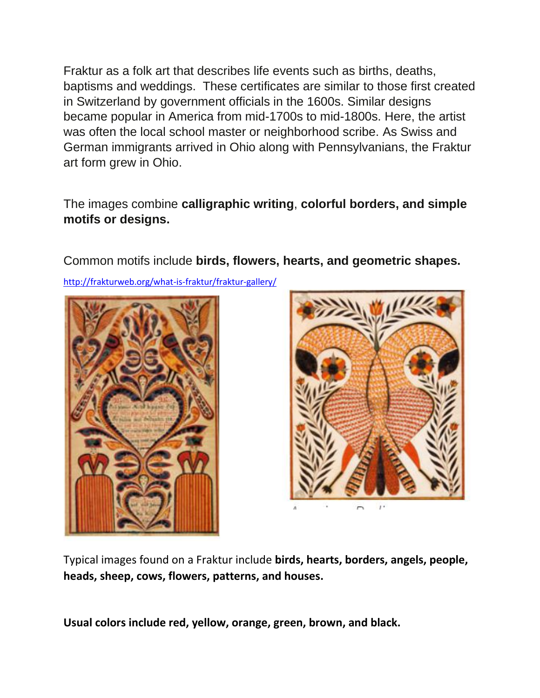Fraktur as a folk art that describes life events such as births, deaths, baptisms and weddings. These certificates are similar to those first created in Switzerland by government officials in the 1600s. Similar designs became popular in America from mid-1700s to mid-1800s. Here, the artist was often the local school master or neighborhood scribe. As Swiss and German immigrants arrived in Ohio along with Pennsylvanians, the Fraktur art form grew in Ohio.

The images combine **calligraphic writing**, **colorful borders, and simple motifs or designs.** 

Common motifs include **birds, flowers, hearts, and geometric shapes.** 

<http://frakturweb.org/what-is-fraktur/fraktur-gallery/>





Typical images found on a Fraktur include **birds, hearts, borders, angels, people, heads, sheep, cows, flowers, patterns, and houses.** 

**Usual colors include red, yellow, orange, green, brown, and black.**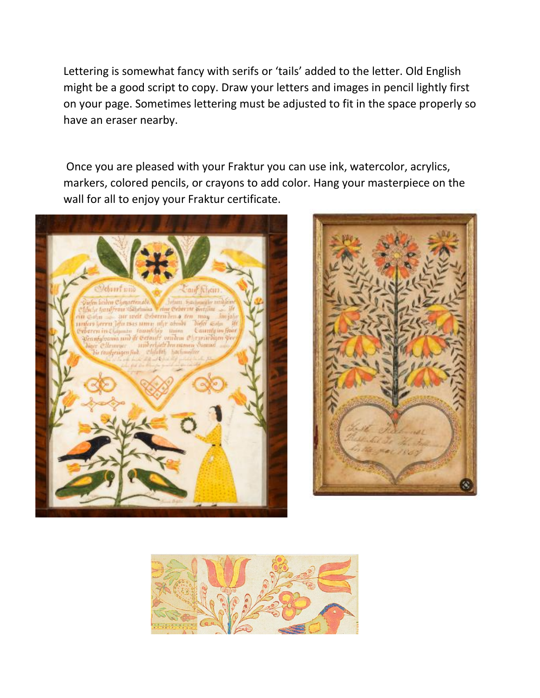Lettering is somewhat fancy with serifs or 'tails' added to the letter. Old English might be a good script to copy. Draw your letters and images in pencil lightly first on your page. Sometimes lettering must be adjusted to fit in the space properly so have an eraser nearby.

Once you are pleased with your Fraktur you can use ink, watercolor, acrylics, markers, colored pencils, or crayons to add color. Hang your masterpiece on the wall for all to enjoy your Fraktur certificate.





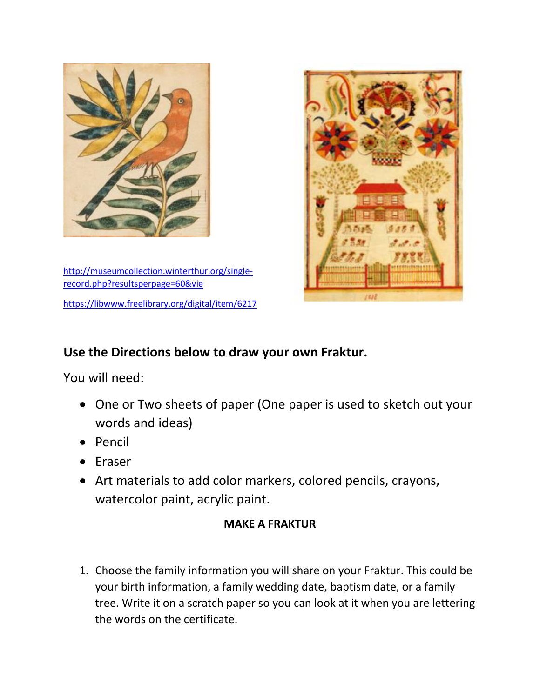

[http://museumcollection.winterthur.org/single](http://museumcollection.winterthur.org/single-record.php?resultsperpage=60&vie)[record.php?resultsperpage=60&vie](http://museumcollection.winterthur.org/single-record.php?resultsperpage=60&vie) <https://libwww.freelibrary.org/digital/item/6217>



## **Use the Directions below to draw your own Fraktur.**

You will need:

- One or Two sheets of paper (One paper is used to sketch out your words and ideas)
- Pencil
- Eraser
- Art materials to add color markers, colored pencils, crayons, watercolor paint, acrylic paint.

## **MAKE A FRAKTUR**

1. Choose the family information you will share on your Fraktur. This could be your birth information, a family wedding date, baptism date, or a family tree. Write it on a scratch paper so you can look at it when you are lettering the words on the certificate.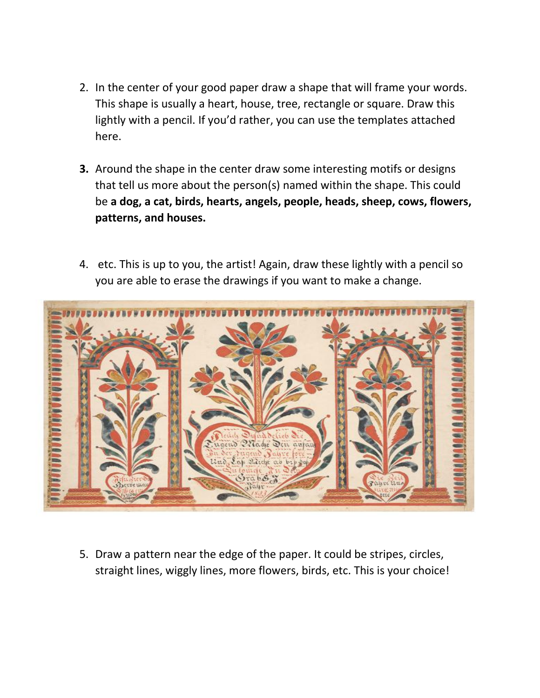- 2. In the center of your good paper draw a shape that will frame your words. This shape is usually a heart, house, tree, rectangle or square. Draw this lightly with a pencil. If you'd rather, you can use the templates attached here.
- **3.** Around the shape in the center draw some interesting motifs or designs that tell us more about the person(s) named within the shape. This could be **a dog, a cat, birds, hearts, angels, people, heads, sheep, cows, flowers, patterns, and houses.**
- 4. etc. This is up to you, the artist! Again, draw these lightly with a pencil so you are able to erase the drawings if you want to make a change.



5. Draw a pattern near the edge of the paper. It could be stripes, circles, straight lines, wiggly lines, more flowers, birds, etc. This is your choice!